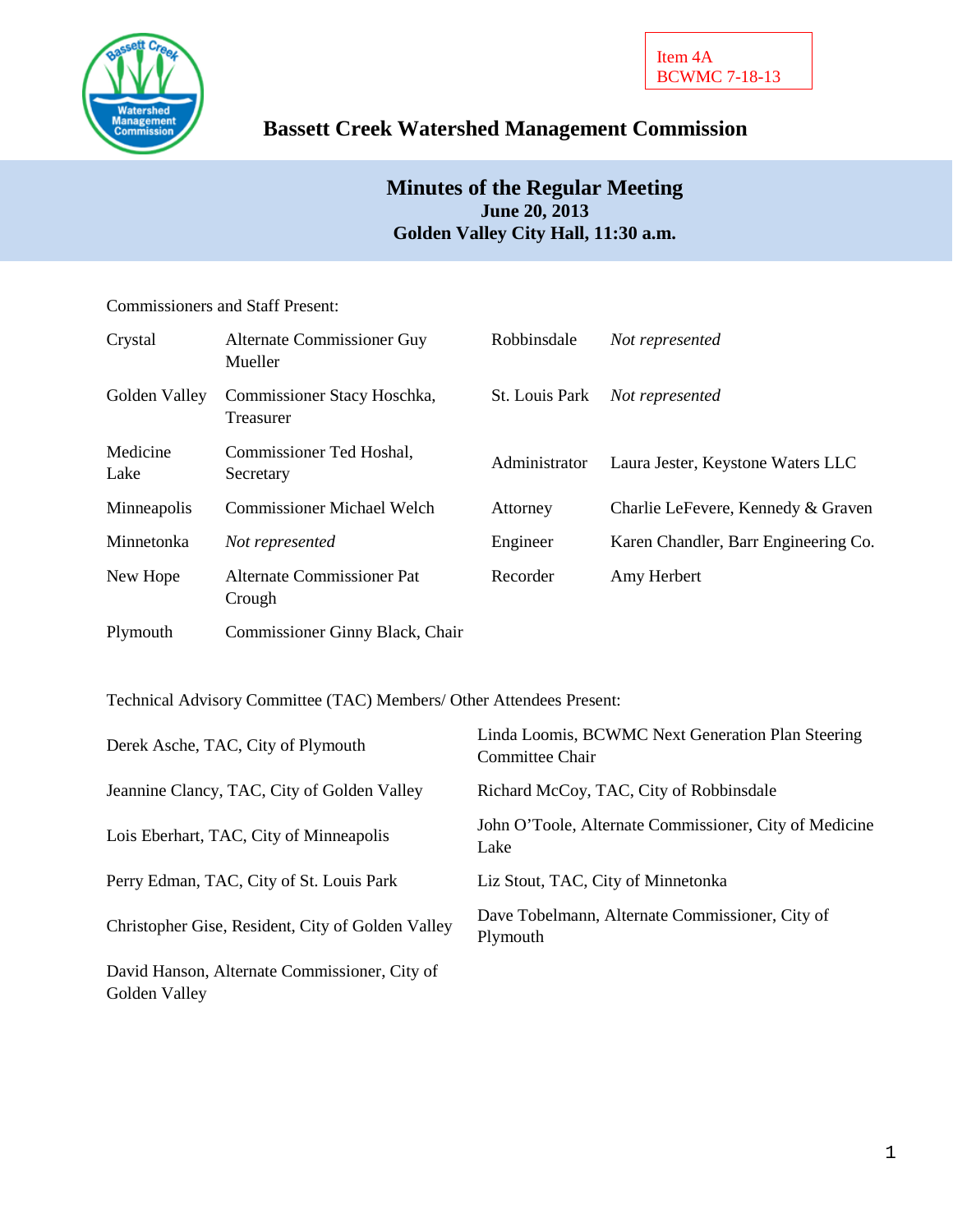

# **Bassett Creek Watershed Management Commission**

## **Minutes of the Regular Meeting June 20, 2013 Golden Valley City Hall, 11:30 a.m.**

Commissioners and Staff Present:

| Crystal          | <b>Alternate Commissioner Guy</b><br>Mueller | Robbinsdale    | Not represented                      |
|------------------|----------------------------------------------|----------------|--------------------------------------|
| Golden Valley    | Commissioner Stacy Hoschka,<br>Treasurer     | St. Louis Park | Not represented                      |
| Medicine<br>Lake | Commissioner Ted Hoshal,<br>Secretary        | Administrator  | Laura Jester, Keystone Waters LLC    |
| Minneapolis      | <b>Commissioner Michael Welch</b>            | Attorney       | Charlie LeFevere, Kennedy & Graven   |
| Minnetonka       | Not represented                              | Engineer       | Karen Chandler, Barr Engineering Co. |
| New Hope         | Alternate Commissioner Pat<br>Crough         | Recorder       | Amy Herbert                          |
| Plymouth         | Commissioner Ginny Black, Chair              |                |                                      |

Technical Advisory Committee (TAC) Members/ Other Attendees Present:

| Derek Asche, TAC, City of Plymouth                             | Linda Loomis, BCWMC Next Generation Plan Steering<br>Committee Chair |
|----------------------------------------------------------------|----------------------------------------------------------------------|
| Jeannine Clancy, TAC, City of Golden Valley                    | Richard McCoy, TAC, City of Robbinsdale                              |
| Lois Eberhart, TAC, City of Minneapolis                        | John O'Toole, Alternate Commissioner, City of Medicine<br>Lake       |
| Perry Edman, TAC, City of St. Louis Park                       | Liz Stout, TAC, City of Minnetonka                                   |
| Christopher Gise, Resident, City of Golden Valley              | Dave Tobelmann, Alternate Commissioner, City of<br>Plymouth          |
| David Hanson, Alternate Commissioner, City of<br>Golden Valley |                                                                      |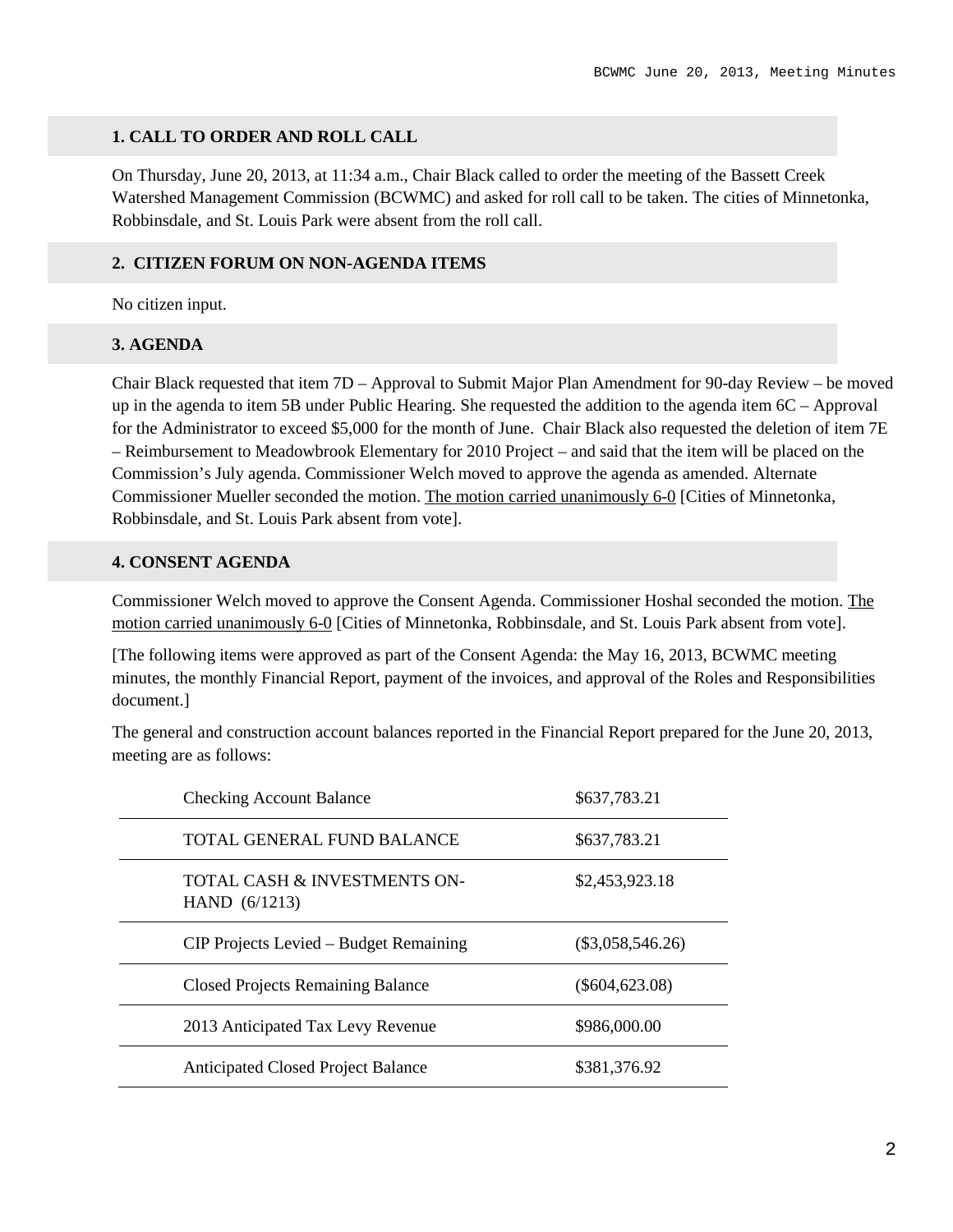#### **1. CALL TO ORDER AND ROLL CALL**

On Thursday, June 20, 2013, at 11:34 a.m., Chair Black called to order the meeting of the Bassett Creek Watershed Management Commission (BCWMC) and asked for roll call to be taken. The cities of Minnetonka, Robbinsdale, and St. Louis Park were absent from the roll call.

#### **2. CITIZEN FORUM ON NON-AGENDA ITEMS**

No citizen input.

#### **3. AGENDA**

Chair Black requested that item 7D – Approval to Submit Major Plan Amendment for 90-day Review – be moved up in the agenda to item 5B under Public Hearing. She requested the addition to the agenda item 6C – Approval for the Administrator to exceed \$5,000 for the month of June. Chair Black also requested the deletion of item 7E – Reimbursement to Meadowbrook Elementary for 2010 Project – and said that the item will be placed on the Commission's July agenda. Commissioner Welch moved to approve the agenda as amended. Alternate Commissioner Mueller seconded the motion. The motion carried unanimously 6-0 [Cities of Minnetonka, Robbinsdale, and St. Louis Park absent from vote].

#### **4. CONSENT AGENDA**

Commissioner Welch moved to approve the Consent Agenda. Commissioner Hoshal seconded the motion. The motion carried unanimously 6-0 [Cities of Minnetonka, Robbinsdale, and St. Louis Park absent from vote].

[The following items were approved as part of the Consent Agenda: the May 16, 2013, BCWMC meeting minutes, the monthly Financial Report, payment of the invoices, and approval of the Roles and Responsibilities document.]

The general and construction account balances reported in the Financial Report prepared for the June 20, 2013, meeting are as follows:

| <b>Checking Account Balance</b>                            | \$637,783.21       |
|------------------------------------------------------------|--------------------|
| <b>TOTAL GENERAL FUND BALANCE</b>                          | \$637,783.21       |
| <b>TOTAL CASH &amp; INVESTMENTS ON-</b><br>HAND $(6/1213)$ | \$2,453,923.18     |
| CIP Projects Levied – Budget Remaining                     | $(\$3,058,546.26)$ |
| <b>Closed Projects Remaining Balance</b>                   | $(\$604,623.08)$   |
| 2013 Anticipated Tax Levy Revenue                          | \$986,000.00       |
| <b>Anticipated Closed Project Balance</b>                  | \$381,376.92       |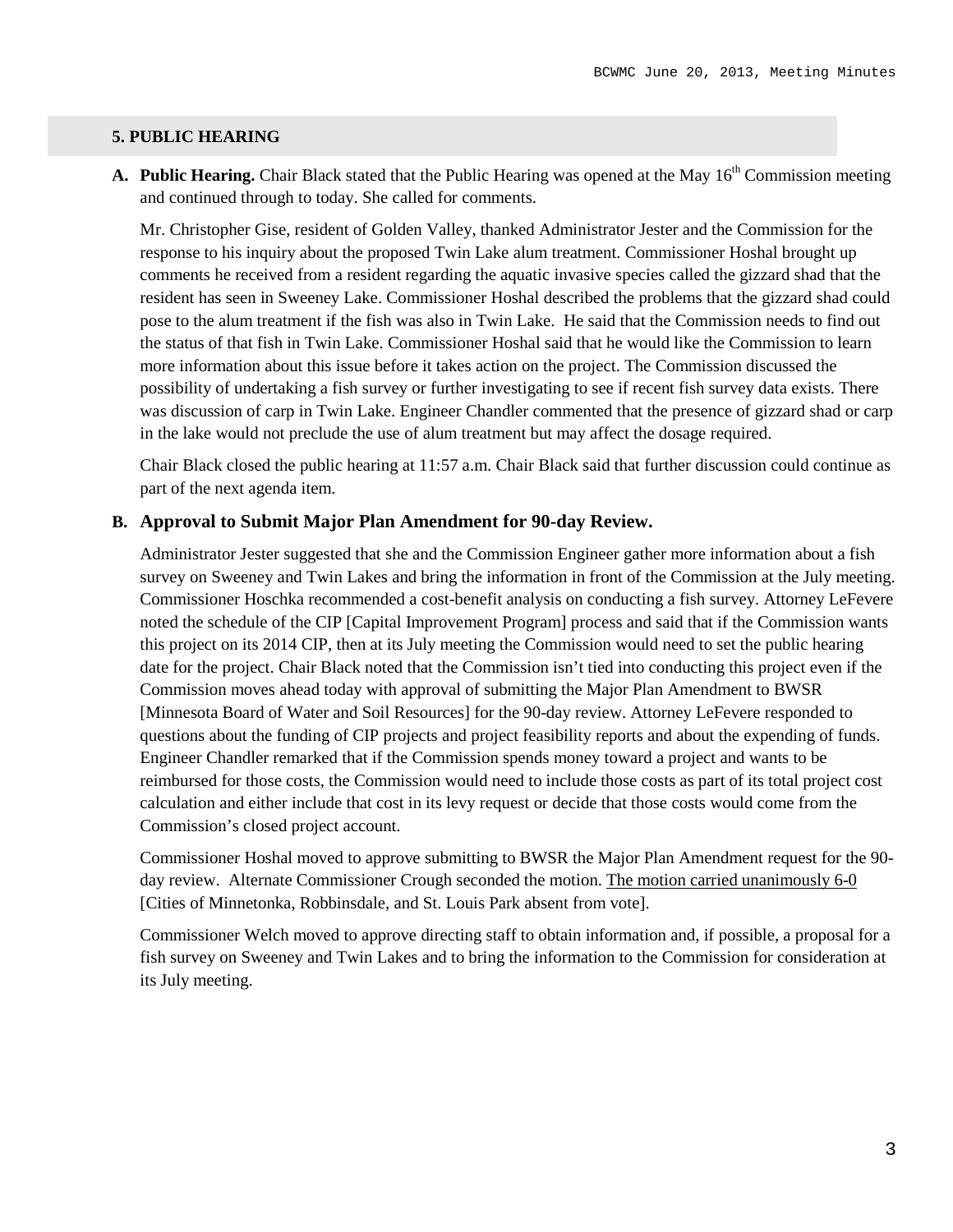#### **5. PUBLIC HEARING**

**A. Public Hearing.** Chair Black stated that the Public Hearing was opened at the May 16<sup>th</sup> Commission meeting and continued through to today. She called for comments.

Mr. Christopher Gise, resident of Golden Valley, thanked Administrator Jester and the Commission for the response to his inquiry about the proposed Twin Lake alum treatment. Commissioner Hoshal brought up comments he received from a resident regarding the aquatic invasive species called the gizzard shad that the resident has seen in Sweeney Lake. Commissioner Hoshal described the problems that the gizzard shad could pose to the alum treatment if the fish was also in Twin Lake. He said that the Commission needs to find out the status of that fish in Twin Lake. Commissioner Hoshal said that he would like the Commission to learn more information about this issue before it takes action on the project. The Commission discussed the possibility of undertaking a fish survey or further investigating to see if recent fish survey data exists. There was discussion of carp in Twin Lake. Engineer Chandler commented that the presence of gizzard shad or carp in the lake would not preclude the use of alum treatment but may affect the dosage required.

Chair Black closed the public hearing at 11:57 a.m. Chair Black said that further discussion could continue as part of the next agenda item.

#### **B. Approval to Submit Major Plan Amendment for 90-day Review.**

Administrator Jester suggested that she and the Commission Engineer gather more information about a fish survey on Sweeney and Twin Lakes and bring the information in front of the Commission at the July meeting. Commissioner Hoschka recommended a cost-benefit analysis on conducting a fish survey. Attorney LeFevere noted the schedule of the CIP [Capital Improvement Program] process and said that if the Commission wants this project on its 2014 CIP, then at its July meeting the Commission would need to set the public hearing date for the project. Chair Black noted that the Commission isn't tied into conducting this project even if the Commission moves ahead today with approval of submitting the Major Plan Amendment to BWSR [Minnesota Board of Water and Soil Resources] for the 90-day review. Attorney LeFevere responded to questions about the funding of CIP projects and project feasibility reports and about the expending of funds. Engineer Chandler remarked that if the Commission spends money toward a project and wants to be reimbursed for those costs, the Commission would need to include those costs as part of its total project cost calculation and either include that cost in its levy request or decide that those costs would come from the Commission's closed project account.

Commissioner Hoshal moved to approve submitting to BWSR the Major Plan Amendment request for the 90 day review. Alternate Commissioner Crough seconded the motion. The motion carried unanimously 6-0 [Cities of Minnetonka, Robbinsdale, and St. Louis Park absent from vote].

Commissioner Welch moved to approve directing staff to obtain information and, if possible, a proposal for a fish survey on Sweeney and Twin Lakes and to bring the information to the Commission for consideration at its July meeting.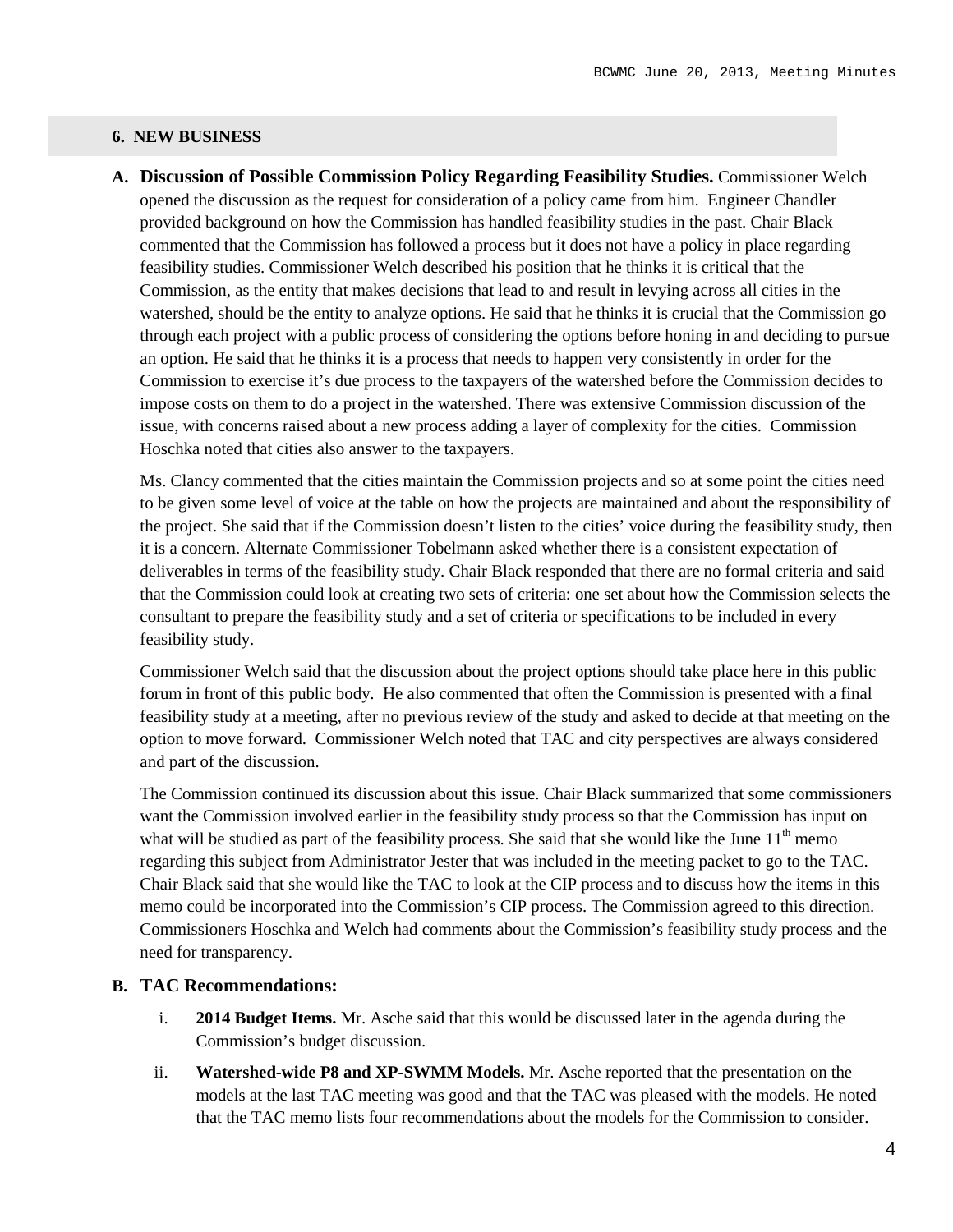#### **6. NEW BUSINESS**

**A. Discussion of Possible Commission Policy Regarding Feasibility Studies.** Commissioner Welch opened the discussion as the request for consideration of a policy came from him.Engineer Chandler provided background on how the Commission has handled feasibility studies in the past. Chair Black commented that the Commission has followed a process but it does not have a policy in place regarding feasibility studies. Commissioner Welch described his position that he thinks it is critical that the Commission, as the entity that makes decisions that lead to and result in levying across all cities in the watershed, should be the entity to analyze options. He said that he thinks it is crucial that the Commission go through each project with a public process of considering the options before honing in and deciding to pursue an option. He said that he thinks it is a process that needs to happen very consistently in order for the Commission to exercise it's due process to the taxpayers of the watershed before the Commission decides to impose costs on them to do a project in the watershed. There was extensive Commission discussion of the issue, with concerns raised about a new process adding a layer of complexity for the cities. Commission Hoschka noted that cities also answer to the taxpayers.

Ms. Clancy commented that the cities maintain the Commission projects and so at some point the cities need to be given some level of voice at the table on how the projects are maintained and about the responsibility of the project. She said that if the Commission doesn't listen to the cities' voice during the feasibility study, then it is a concern. Alternate Commissioner Tobelmann asked whether there is a consistent expectation of deliverables in terms of the feasibility study. Chair Black responded that there are no formal criteria and said that the Commission could look at creating two sets of criteria: one set about how the Commission selects the consultant to prepare the feasibility study and a set of criteria or specifications to be included in every feasibility study.

Commissioner Welch said that the discussion about the project options should take place here in this public forum in front of this public body. He also commented that often the Commission is presented with a final feasibility study at a meeting, after no previous review of the study and asked to decide at that meeting on the option to move forward. Commissioner Welch noted that TAC and city perspectives are always considered and part of the discussion.

The Commission continued its discussion about this issue. Chair Black summarized that some commissioners want the Commission involved earlier in the feasibility study process so that the Commission has input on what will be studied as part of the feasibility process. She said that she would like the June  $11<sup>th</sup>$  memo regarding this subject from Administrator Jester that was included in the meeting packet to go to the TAC. Chair Black said that she would like the TAC to look at the CIP process and to discuss how the items in this memo could be incorporated into the Commission's CIP process. The Commission agreed to this direction. Commissioners Hoschka and Welch had comments about the Commission's feasibility study process and the need for transparency.

#### **B. TAC Recommendations:**

- i. **2014 Budget Items.** Mr. Asche said that this would be discussed later in the agenda during the Commission's budget discussion.
- ii. **Watershed-wide P8 and XP-SWMM Models.** Mr. Asche reported that the presentation on the models at the last TAC meeting was good and that the TAC was pleased with the models. He noted that the TAC memo lists four recommendations about the models for the Commission to consider.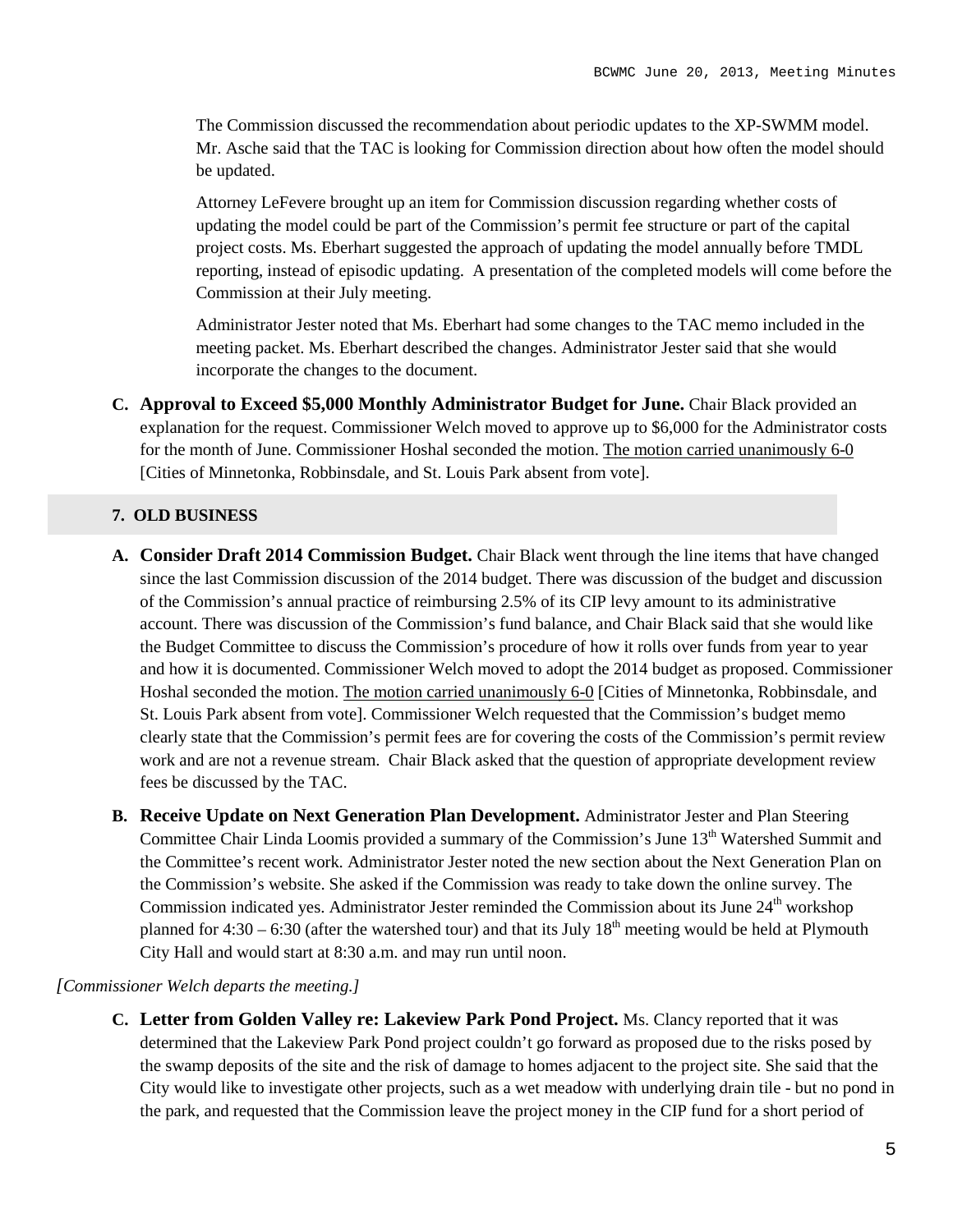The Commission discussed the recommendation about periodic updates to the XP-SWMM model. Mr. Asche said that the TAC is looking for Commission direction about how often the model should be updated.

Attorney LeFevere brought up an item for Commission discussion regarding whether costs of updating the model could be part of the Commission's permit fee structure or part of the capital project costs. Ms. Eberhart suggested the approach of updating the model annually before TMDL reporting, instead of episodic updating. A presentation of the completed models will come before the Commission at their July meeting.

Administrator Jester noted that Ms. Eberhart had some changes to the TAC memo included in the meeting packet. Ms. Eberhart described the changes. Administrator Jester said that she would incorporate the changes to the document.

**C. Approval to Exceed \$5,000 Monthly Administrator Budget for June.** Chair Black provided an explanation for the request. Commissioner Welch moved to approve up to \$6,000 for the Administrator costs for the month of June. Commissioner Hoshal seconded the motion. The motion carried unanimously 6-0 [Cities of Minnetonka, Robbinsdale, and St. Louis Park absent from vote].

#### **7. OLD BUSINESS**

- **A. Consider Draft 2014 Commission Budget.** Chair Black went through the line items that have changed since the last Commission discussion of the 2014 budget. There was discussion of the budget and discussion of the Commission's annual practice of reimbursing 2.5% of its CIP levy amount to its administrative account. There was discussion of the Commission's fund balance, and Chair Black said that she would like the Budget Committee to discuss the Commission's procedure of how it rolls over funds from year to year and how it is documented. Commissioner Welch moved to adopt the 2014 budget as proposed. Commissioner Hoshal seconded the motion. The motion carried unanimously 6-0 [Cities of Minnetonka, Robbinsdale, and St. Louis Park absent from vote]. Commissioner Welch requested that the Commission's budget memo clearly state that the Commission's permit fees are for covering the costs of the Commission's permit review work and are not a revenue stream. Chair Black asked that the question of appropriate development review fees be discussed by the TAC.
- **B. Receive Update on Next Generation Plan Development.** Administrator Jester and Plan Steering Committee Chair Linda Loomis provided a summary of the Commission's June 13<sup>th</sup> Watershed Summit and the Committee's recent work. Administrator Jester noted the new section about the Next Generation Plan on the Commission's website. She asked if the Commission was ready to take down the online survey. The Commission indicated yes. Administrator Jester reminded the Commission about its June  $24<sup>th</sup>$  workshop planned for  $4:30 - 6:30$  (after the watershed tour) and that its July  $18<sup>th</sup>$  meeting would be held at Plymouth City Hall and would start at 8:30 a.m. and may run until noon.

#### *[Commissioner Welch departs the meeting.]*

**C. Letter from Golden Valley re: Lakeview Park Pond Project.** Ms. Clancy reported that it was determined that the Lakeview Park Pond project couldn't go forward as proposed due to the risks posed by the swamp deposits of the site and the risk of damage to homes adjacent to the project site. She said that the City would like to investigate other projects, such as a wet meadow with underlying drain tile - but no pond in the park, and requested that the Commission leave the project money in the CIP fund for a short period of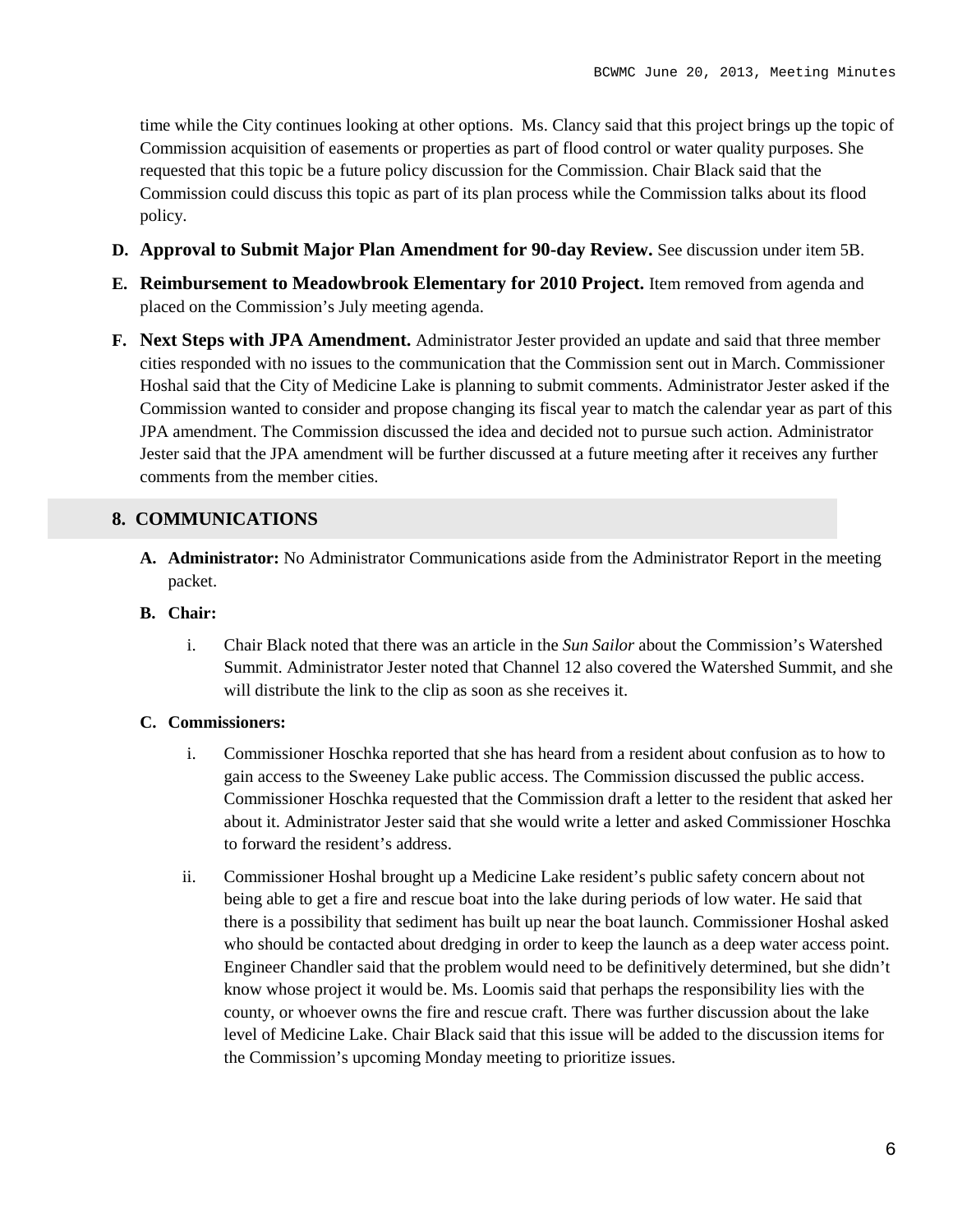time while the City continues looking at other options. Ms. Clancy said that this project brings up the topic of Commission acquisition of easements or properties as part of flood control or water quality purposes. She requested that this topic be a future policy discussion for the Commission. Chair Black said that the Commission could discuss this topic as part of its plan process while the Commission talks about its flood policy.

- **D. Approval to Submit Major Plan Amendment for 90-day Review.** See discussion under item 5B.
- **E. Reimbursement to Meadowbrook Elementary for 2010 Project.** Item removed from agenda and placed on the Commission's July meeting agenda.
- **F. Next Steps with JPA Amendment.** Administrator Jester provided an update and said that three member cities responded with no issues to the communication that the Commission sent out in March. Commissioner Hoshal said that the City of Medicine Lake is planning to submit comments. Administrator Jester asked if the Commission wanted to consider and propose changing its fiscal year to match the calendar year as part of this JPA amendment. The Commission discussed the idea and decided not to pursue such action. Administrator Jester said that the JPA amendment will be further discussed at a future meeting after it receives any further comments from the member cities.

### **8. COMMUNICATIONS**

- **A. Administrator:** No Administrator Communications aside from the Administrator Report in the meeting packet.
- **B. Chair:** 
	- i. Chair Black noted that there was an article in the *Sun Sailor* about the Commission's Watershed Summit. Administrator Jester noted that Channel 12 also covered the Watershed Summit, and she will distribute the link to the clip as soon as she receives it.

#### **C. Commissioners:**

- i. Commissioner Hoschka reported that she has heard from a resident about confusion as to how to gain access to the Sweeney Lake public access. The Commission discussed the public access. Commissioner Hoschka requested that the Commission draft a letter to the resident that asked her about it. Administrator Jester said that she would write a letter and asked Commissioner Hoschka to forward the resident's address.
- ii. Commissioner Hoshal brought up a Medicine Lake resident's public safety concern about not being able to get a fire and rescue boat into the lake during periods of low water. He said that there is a possibility that sediment has built up near the boat launch. Commissioner Hoshal asked who should be contacted about dredging in order to keep the launch as a deep water access point. Engineer Chandler said that the problem would need to be definitively determined, but she didn't know whose project it would be. Ms. Loomis said that perhaps the responsibility lies with the county, or whoever owns the fire and rescue craft. There was further discussion about the lake level of Medicine Lake. Chair Black said that this issue will be added to the discussion items for the Commission's upcoming Monday meeting to prioritize issues.